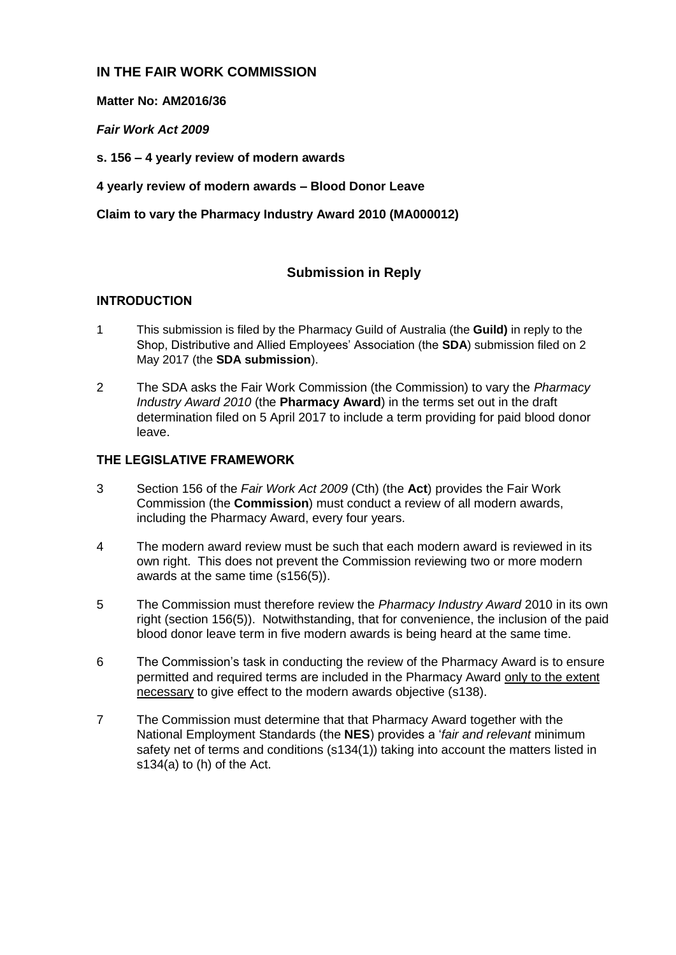## **IN THE FAIR WORK COMMISSION**

**Matter No: AM2016/36**

*Fair Work Act 2009*

**s. 156 – 4 yearly review of modern awards**

**4 yearly review of modern awards – Blood Donor Leave**

**Claim to vary the Pharmacy Industry Award 2010 (MA000012)** 

## **Submission in Reply**

## **INTRODUCTION**

- 1 This submission is filed by the Pharmacy Guild of Australia (the **Guild)** in reply to the Shop, Distributive and Allied Employees' Association (the **SDA**) submission filed on 2 May 2017 (the **SDA submission**).
- 2 The SDA asks the Fair Work Commission (the Commission) to vary the *Pharmacy Industry Award 2010* (the **Pharmacy Award**) in the terms set out in the draft determination filed on 5 April 2017 to include a term providing for paid blood donor leave.

## **THE LEGISLATIVE FRAMEWORK**

- 3 Section 156 of the *Fair Work Act 2009* (Cth) (the **Act**) provides the Fair Work Commission (the **Commission**) must conduct a review of all modern awards, including the Pharmacy Award, every four years.
- 4 The modern award review must be such that each modern award is reviewed in its own right. This does not prevent the Commission reviewing two or more modern awards at the same time (s156(5)).
- 5 The Commission must therefore review the *Pharmacy Industry Award* 2010 in its own right (section 156(5)). Notwithstanding, that for convenience, the inclusion of the paid blood donor leave term in five modern awards is being heard at the same time.
- 6 The Commission's task in conducting the review of the Pharmacy Award is to ensure permitted and required terms are included in the Pharmacy Award only to the extent necessary to give effect to the modern awards objective (s138).
- 7 The Commission must determine that that Pharmacy Award together with the National Employment Standards (the **NES**) provides a '*fair and relevant* minimum safety net of terms and conditions (s134(1)) taking into account the matters listed in s134(a) to (h) of the Act.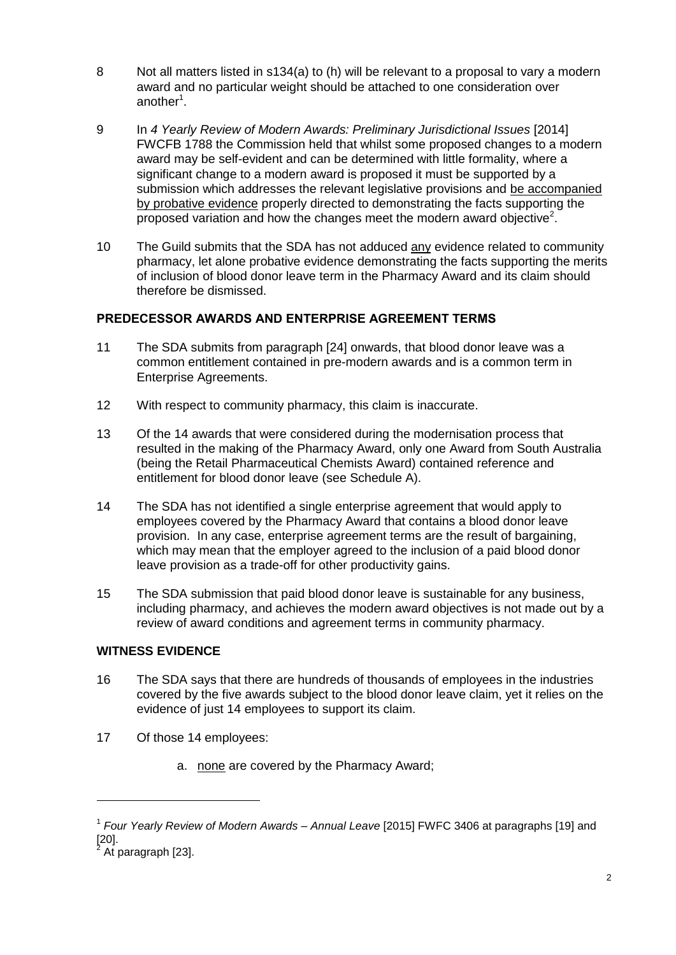- 8 Not all matters listed in s134(a) to (h) will be relevant to a proposal to vary a modern award and no particular weight should be attached to one consideration over another<sup>1</sup>.
- 9 In *4 Yearly Review of Modern Awards: Preliminary Jurisdictional Issues* [2014] FWCFB 1788 the Commission held that whilst some proposed changes to a modern award may be self-evident and can be determined with little formality, where a significant change to a modern award is proposed it must be supported by a submission which addresses the relevant legislative provisions and be accompanied by probative evidence properly directed to demonstrating the facts supporting the proposed variation and how the changes meet the modern award objective<sup>2</sup>.
- 10 The Guild submits that the SDA has not adduced any evidence related to community pharmacy, let alone probative evidence demonstrating the facts supporting the merits of inclusion of blood donor leave term in the Pharmacy Award and its claim should therefore be dismissed.

## **PREDECESSOR AWARDS AND ENTERPRISE AGREEMENT TERMS**

- 11 The SDA submits from paragraph [24] onwards, that blood donor leave was a common entitlement contained in pre-modern awards and is a common term in Enterprise Agreements.
- 12 With respect to community pharmacy, this claim is inaccurate.
- 13 Of the 14 awards that were considered during the modernisation process that resulted in the making of the Pharmacy Award, only one Award from South Australia (being the Retail Pharmaceutical Chemists Award) contained reference and entitlement for blood donor leave (see Schedule A).
- 14 The SDA has not identified a single enterprise agreement that would apply to employees covered by the Pharmacy Award that contains a blood donor leave provision. In any case, enterprise agreement terms are the result of bargaining, which may mean that the employer agreed to the inclusion of a paid blood donor leave provision as a trade-off for other productivity gains.
- 15 The SDA submission that paid blood donor leave is sustainable for any business, including pharmacy, and achieves the modern award objectives is not made out by a review of award conditions and agreement terms in community pharmacy.

### **WITNESS EVIDENCE**

- 16 The SDA says that there are hundreds of thousands of employees in the industries covered by the five awards subject to the blood donor leave claim, yet it relies on the evidence of just 14 employees to support its claim.
- 17 Of those 14 employees:
	- a. none are covered by the Pharmacy Award;

1

<sup>1</sup> *Four Yearly Review of Modern Awards – Annual Leave* [2015] FWFC 3406 at paragraphs [19] and  $\begin{bmatrix} 20 \\ 2 \end{bmatrix}$ .

At paragraph [23].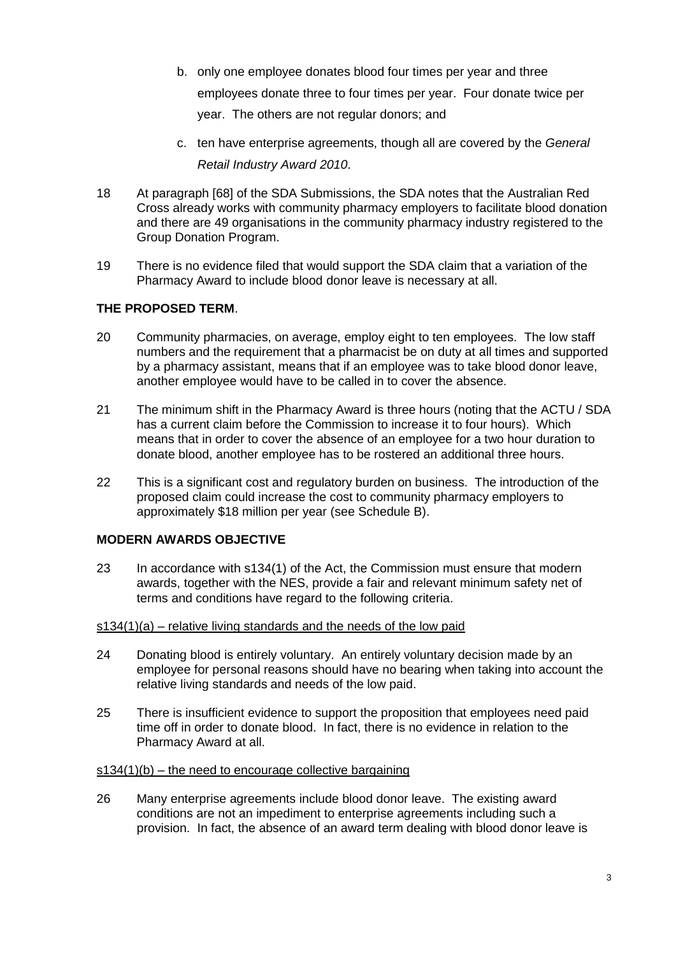- b. only one employee donates blood four times per year and three employees donate three to four times per year. Four donate twice per year. The others are not regular donors; and
- c. ten have enterprise agreements, though all are covered by the *General Retail Industry Award 2010*.
- 18 At paragraph [68] of the SDA Submissions, the SDA notes that the Australian Red Cross already works with community pharmacy employers to facilitate blood donation and there are 49 organisations in the community pharmacy industry registered to the Group Donation Program.
- 19 There is no evidence filed that would support the SDA claim that a variation of the Pharmacy Award to include blood donor leave is necessary at all.

## **THE PROPOSED TERM**.

- 20 Community pharmacies, on average, employ eight to ten employees. The low staff numbers and the requirement that a pharmacist be on duty at all times and supported by a pharmacy assistant, means that if an employee was to take blood donor leave, another employee would have to be called in to cover the absence.
- 21 The minimum shift in the Pharmacy Award is three hours (noting that the ACTU / SDA has a current claim before the Commission to increase it to four hours). Which means that in order to cover the absence of an employee for a two hour duration to donate blood, another employee has to be rostered an additional three hours.
- 22 This is a significant cost and regulatory burden on business. The introduction of the proposed claim could increase the cost to community pharmacy employers to approximately \$18 million per year (see Schedule B).

### **MODERN AWARDS OBJECTIVE**

23 In accordance with s134(1) of the Act, the Commission must ensure that modern awards, together with the NES, provide a fair and relevant minimum safety net of terms and conditions have regard to the following criteria.

### s134(1)(a) – relative living standards and the needs of the low paid

- 24 Donating blood is entirely voluntary. An entirely voluntary decision made by an employee for personal reasons should have no bearing when taking into account the relative living standards and needs of the low paid.
- 25 There is insufficient evidence to support the proposition that employees need paid time off in order to donate blood. In fact, there is no evidence in relation to the Pharmacy Award at all.

#### $s134(1)(b)$  – the need to encourage collective bargaining

26 Many enterprise agreements include blood donor leave. The existing award conditions are not an impediment to enterprise agreements including such a provision. In fact, the absence of an award term dealing with blood donor leave is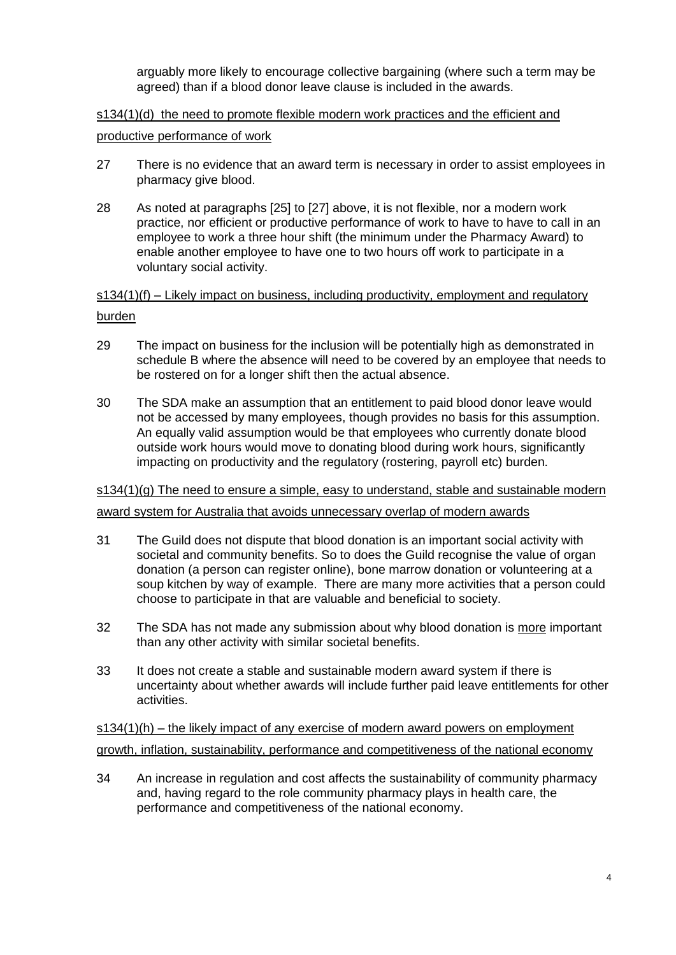arguably more likely to encourage collective bargaining (where such a term may be agreed) than if a blood donor leave clause is included in the awards.

# s134(1)(d) the need to promote flexible modern work practices and the efficient and productive performance of work

- 27 There is no evidence that an award term is necessary in order to assist employees in pharmacy give blood.
- 28 As noted at paragraphs [25] to [27] above, it is not flexible, nor a modern work practice, nor efficient or productive performance of work to have to have to call in an employee to work a three hour shift (the minimum under the Pharmacy Award) to enable another employee to have one to two hours off work to participate in a voluntary social activity.

# $s134(1)(f)$  – Likely impact on business, including productivity, employment and regulatory burden

- 29 The impact on business for the inclusion will be potentially high as demonstrated in schedule B where the absence will need to be covered by an employee that needs to be rostered on for a longer shift then the actual absence.
- 30 The SDA make an assumption that an entitlement to paid blood donor leave would not be accessed by many employees, though provides no basis for this assumption. An equally valid assumption would be that employees who currently donate blood outside work hours would move to donating blood during work hours, significantly impacting on productivity and the regulatory (rostering, payroll etc) burden.

### $s134(1)(g)$  The need to ensure a simple, easy to understand, stable and sustainable modern

award system for Australia that avoids unnecessary overlap of modern awards

- 31 The Guild does not dispute that blood donation is an important social activity with societal and community benefits. So to does the Guild recognise the value of organ donation (a person can register online), bone marrow donation or volunteering at a soup kitchen by way of example. There are many more activities that a person could choose to participate in that are valuable and beneficial to society.
- 32 The SDA has not made any submission about why blood donation is more important than any other activity with similar societal benefits.
- 33 It does not create a stable and sustainable modern award system if there is uncertainty about whether awards will include further paid leave entitlements for other activities.

s134(1)(h) – the likely impact of any exercise of modern award powers on employment growth, inflation, sustainability, performance and competitiveness of the national economy

34 An increase in regulation and cost affects the sustainability of community pharmacy and, having regard to the role community pharmacy plays in health care, the performance and competitiveness of the national economy.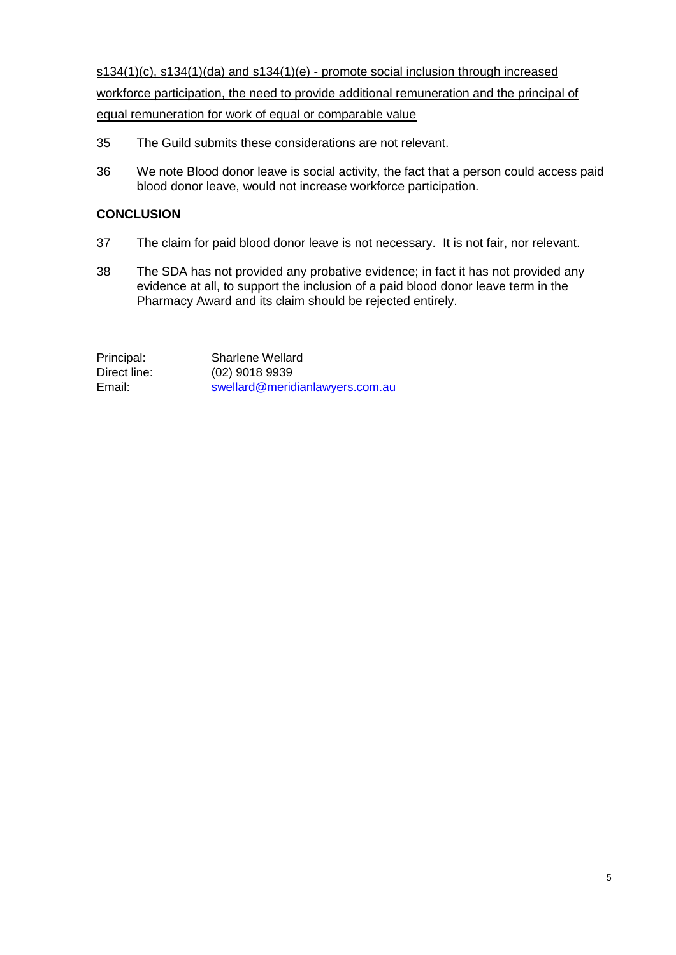s134(1)(c), s134(1)(da) and s134(1)(e) - promote social inclusion through increased workforce participation, the need to provide additional remuneration and the principal of equal remuneration for work of equal or comparable value

- 35 The Guild submits these considerations are not relevant.
- 36 We note Blood donor leave is social activity, the fact that a person could access paid blood donor leave, would not increase workforce participation.

## **CONCLUSION**

- 37 The claim for paid blood donor leave is not necessary. It is not fair, nor relevant.
- 38 The SDA has not provided any probative evidence; in fact it has not provided any evidence at all, to support the inclusion of a paid blood donor leave term in the Pharmacy Award and its claim should be rejected entirely.

Principal: Sharlene Wellard Direct line: (02) 9018 9939 Email: [swellard@meridianlawyers.com.au](mailto:swellard@meridianlawyers.com.au)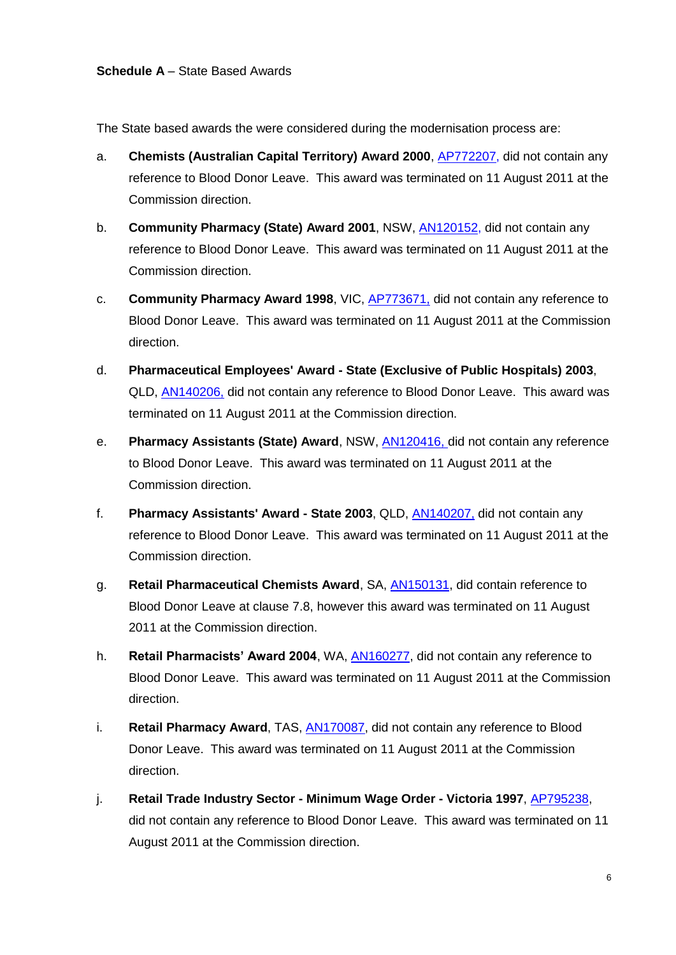The State based awards the were considered during the modernisation process are:

- a. **Chemists (Australian Capital Territory) Award 2000**, [AP772207,](http://www.fwa.gov.au/consolidated_awards/ap/ap772207/asframe.html) did not contain any reference to Blood Donor Leave. This award was terminated on 11 August 2011 at the Commission direction.
- b. **Community Pharmacy (State) Award 2001**, NSW, [AN120152,](http://www.fwa.gov.au/consolidated_awards/an/AN120152/asframe.html) did not contain any reference to Blood Donor Leave. This award was terminated on 11 August 2011 at the Commission direction.
- c. **Community Pharmacy Award 1998**, VIC, [AP773671,](http://www.fwa.gov.au/consolidated_awards/ap/ap773671/asframe.html) did not contain any reference to Blood Donor Leave. This award was terminated on 11 August 2011 at the Commission direction.
- d. **Pharmaceutical Employees' Award - State (Exclusive of Public Hospitals) 2003**, QLD, [AN140206,](http://www.fwa.gov.au/consolidated_awards/an/AN140206/asframe.html) did not contain any reference to Blood Donor Leave. This award was terminated on 11 August 2011 at the Commission direction.
- e. **Pharmacy Assistants (State) Award**, NSW, [AN120416,](http://www.fwa.gov.au/consolidated_awards/an/AN120416/asframe.html) did not contain any reference to Blood Donor Leave. This award was terminated on 11 August 2011 at the Commission direction.
- f. **Pharmacy Assistants' Award - State 2003**, QLD, [AN140207,](http://www.fwa.gov.au/consolidated_awards/an/AN140207/asframe.html) did not contain any reference to Blood Donor Leave. This award was terminated on 11 August 2011 at the Commission direction.
- g. **Retail Pharmaceutical Chemists Award**, SA, [AN150131,](http://www.fwa.gov.au/consolidated_awards/an/AN150131/asframe.html) did contain reference to Blood Donor Leave at clause 7.8, however this award was terminated on 11 August 2011 at the Commission direction.
- h. **Retail Pharmacists' Award 2004**, WA, [AN160277,](http://www.fwa.gov.au/consolidated_awards/an/AN160277/asframe.html) did not contain any reference to Blood Donor Leave. This award was terminated on 11 August 2011 at the Commission direction.
- i. **Retail Pharmacy Award**, TAS, [AN170087,](http://www.fwa.gov.au/consolidated_awards/an/AN170087/asframe.html) did not contain any reference to Blood Donor Leave. This award was terminated on 11 August 2011 at the Commission direction.
- j. **Retail Trade Industry Sector - Minimum Wage Order - Victoria 1997**, [AP795238,](http://www.fwa.gov.au/consolidated_awards/ap/ap795238/asframe.html) did not contain any reference to Blood Donor Leave. This award was terminated on 11 August 2011 at the Commission direction.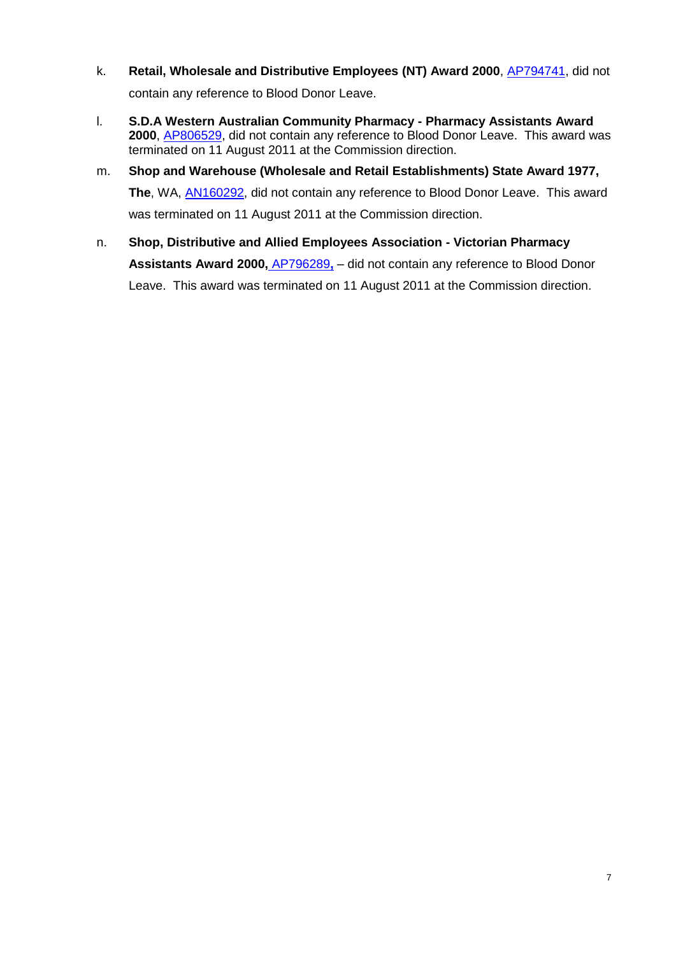- k. **Retail, Wholesale and Distributive Employees (NT) Award 2000**, **AP794741**, did not contain any reference to Blood Donor Leave.
- l. **S.D.A Western Australian Community Pharmacy - Pharmacy Assistants Award 2000**, [AP806529,](http://www.fwa.gov.au/consolidated_awards/ap/ap806529/asframe.html) did not contain any reference to Blood Donor Leave. This award was terminated on 11 August 2011 at the Commission direction.
- m. **Shop and Warehouse (Wholesale and Retail Establishments) State Award 1977, The**, WA, [AN160292,](http://www.fwa.gov.au/consolidated_awards/an/AN160292/asframe.html) did not contain any reference to Blood Donor Leave. This award was terminated on 11 August 2011 at the Commission direction.
- n. **Shop, Distributive and Allied Employees Association - Victorian Pharmacy Assistants Award 2000,** [AP796289](http://www.fwa.gov.au/consolidated_awards/ap/ap796289/asframe.html)**,** – did not contain any reference to Blood Donor Leave. This award was terminated on 11 August 2011 at the Commission direction.